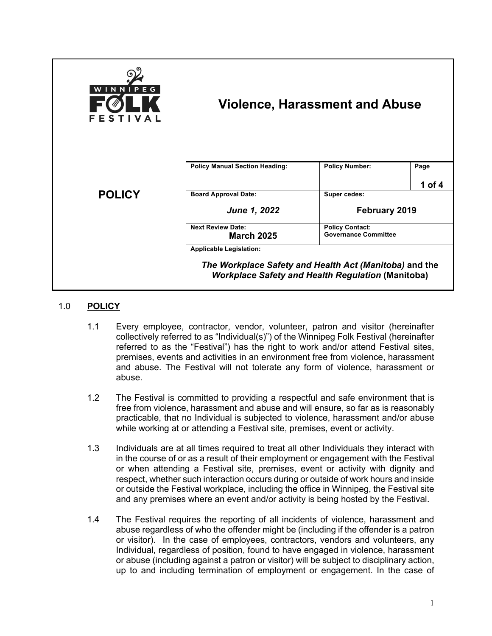| WINNIPEG<br>FESTIVAL | <b>Violence, Harassment and Abuse</b>                                                                                                                |                                                       |          |
|----------------------|------------------------------------------------------------------------------------------------------------------------------------------------------|-------------------------------------------------------|----------|
|                      | <b>Policy Manual Section Heading:</b>                                                                                                                | <b>Policy Number:</b>                                 | Page     |
|                      |                                                                                                                                                      |                                                       | 1 of $4$ |
| <b>POLICY</b>        | <b>Board Approval Date:</b>                                                                                                                          | Super cedes:                                          |          |
|                      | <b>June 1, 2022</b>                                                                                                                                  | February 2019                                         |          |
|                      | <b>Next Review Date:</b><br><b>March 2025</b>                                                                                                        | <b>Policy Contact:</b><br><b>Governance Committee</b> |          |
|                      | <b>Applicable Legislation:</b><br>The Workplace Safety and Health Act (Manitoba) and the<br><b>Workplace Safety and Health Regulation (Manitoba)</b> |                                                       |          |
|                      |                                                                                                                                                      |                                                       |          |

# 1.0 **POLICY**

- 1.1 Every employee, contractor, vendor, volunteer, patron and visitor (hereinafter collectively referred to as "Individual(s)") of the Winnipeg Folk Festival (hereinafter referred to as the "Festival") has the right to work and/or attend Festival sites, premises, events and activities in an environment free from violence, harassment and abuse. The Festival will not tolerate any form of violence, harassment or abuse.
- 1.2 The Festival is committed to providing a respectful and safe environment that is free from violence, harassment and abuse and will ensure, so far as is reasonably practicable, that no Individual is subjected to violence, harassment and/or abuse while working at or attending a Festival site, premises, event or activity.
- 1.3 Individuals are at all times required to treat all other Individuals they interact with in the course of or as a result of their employment or engagement with the Festival or when attending a Festival site, premises, event or activity with dignity and respect, whether such interaction occurs during or outside of work hours and inside or outside the Festival workplace, including the office in Winnipeg, the Festival site and any premises where an event and/or activity is being hosted by the Festival.
- 1.4 The Festival requires the reporting of all incidents of violence, harassment and abuse regardless of who the offender might be (including if the offender is a patron or visitor). In the case of employees, contractors, vendors and volunteers, any Individual, regardless of position, found to have engaged in violence, harassment or abuse (including against a patron or visitor) will be subject to disciplinary action, up to and including termination of employment or engagement. In the case of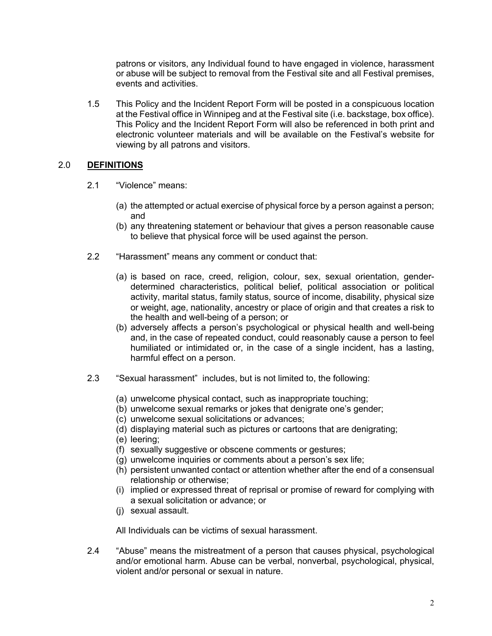patrons or visitors, any Individual found to have engaged in violence, harassment or abuse will be subject to removal from the Festival site and all Festival premises, events and activities.

1.5 This Policy and the Incident Report Form will be posted in a conspicuous location at the Festival office in Winnipeg and at the Festival site (i.e. backstage, box office). This Policy and the Incident Report Form will also be referenced in both print and electronic volunteer materials and will be available on the Festival's website for viewing by all patrons and visitors.

## 2.0 **DEFINITIONS**

- 2.1 "Violence" means:
	- (a) the attempted or actual exercise of physical force by a person against a person; and
	- (b) any threatening statement or behaviour that gives a person reasonable cause to believe that physical force will be used against the person.
- 2.2 "Harassment" means any comment or conduct that:
	- (a) is based on race, creed, religion, colour, sex, sexual orientation, genderdetermined characteristics, political belief, political association or political activity, marital status, family status, source of income, disability, physical size or weight, age, nationality, ancestry or place of origin and that creates a risk to the health and well-being of a person; or
	- (b) adversely affects a person's psychological or physical health and well-being and, in the case of repeated conduct, could reasonably cause a person to feel humiliated or intimidated or, in the case of a single incident, has a lasting, harmful effect on a person.
- 2.3 "Sexual harassment" includes, but is not limited to, the following:
	- (a) unwelcome physical contact, such as inappropriate touching;
	- (b) unwelcome sexual remarks or jokes that denigrate one's gender;
	- (c) unwelcome sexual solicitations or advances;
	- (d) displaying material such as pictures or cartoons that are denigrating;
	- (e) leering;
	- (f) sexually suggestive or obscene comments or gestures;
	- (g) unwelcome inquiries or comments about a person's sex life;
	- (h) persistent unwanted contact or attention whether after the end of a consensual relationship or otherwise;
	- (i) implied or expressed threat of reprisal or promise of reward for complying with a sexual solicitation or advance; or
	- (j) sexual assault.

All Individuals can be victims of sexual harassment.

2.4 "Abuse" means the mistreatment of a person that causes physical, psychological and/or emotional harm. Abuse can be verbal, nonverbal, psychological, physical, violent and/or personal or sexual in nature.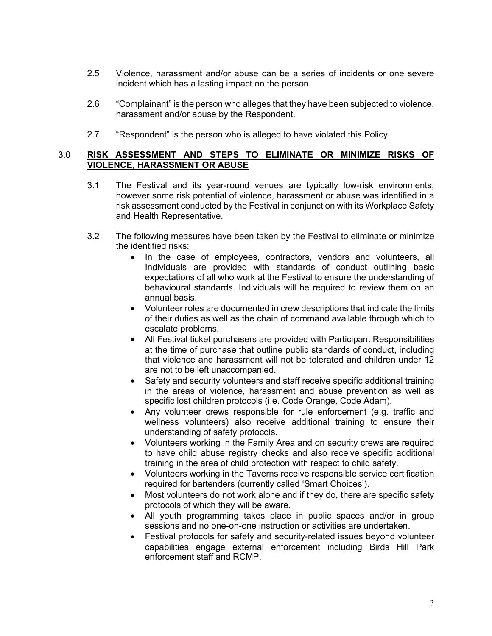- 2.5 Violence, harassment and/or abuse can be a series of incidents or one severe incident which has a lasting impact on the person.
- 2.6 "Complainant" is the person who alleges that they have been subjected to violence, harassment and/or abuse by the Respondent.
- 2.7 "Respondent" is the person who is alleged to have violated this Policy.

### 3.0 **RISK ASSESSMENT AND STEPS TO ELIMINATE OR MINIMIZE RISKS OF VIOLENCE, HARASSMENT OR ABUSE**

- 3.1 The Festival and its year-round venues are typically low-risk environments, however some risk potential of violence, harassment or abuse was identified in a risk assessment conducted by the Festival in conjunction with its Workplace Safety and Health Representative.
- 3.2 The following measures have been taken by the Festival to eliminate or minimize the identified risks:
	- In the case of employees, contractors, vendors and volunteers, all Individuals are provided with standards of conduct outlining basic expectations of all who work at the Festival to ensure the understanding of behavioural standards. Individuals will be required to review them on an annual basis.
	- Volunteer roles are documented in crew descriptions that indicate the limits of their duties as well as the chain of command available through which to escalate problems.
	- All Festival ticket purchasers are provided with Participant Responsibilities at the time of purchase that outline public standards of conduct, including that violence and harassment will not be tolerated and children under 12 are not to be left unaccompanied.
	- Safety and security volunteers and staff receive specific additional training in the areas of violence, harassment and abuse prevention as well as specific lost children protocols (i.e. Code Orange, Code Adam).
	- Any volunteer crews responsible for rule enforcement (e.g. traffic and wellness volunteers) also receive additional training to ensure their understanding of safety protocols.
	- Volunteers working in the Family Area and on security crews are required to have child abuse registry checks and also receive specific additional training in the area of child protection with respect to child safety.
	- Volunteers working in the Taverns receive responsible service certification required for bartenders (currently called 'Smart Choices').
	- Most volunteers do not work alone and if they do, there are specific safety protocols of which they will be aware.
	- All youth programming takes place in public spaces and/or in group sessions and no one-on-one instruction or activities are undertaken.
	- Festival protocols for safety and security-related issues beyond volunteer capabilities engage external enforcement including Birds Hill Park enforcement staff and RCMP.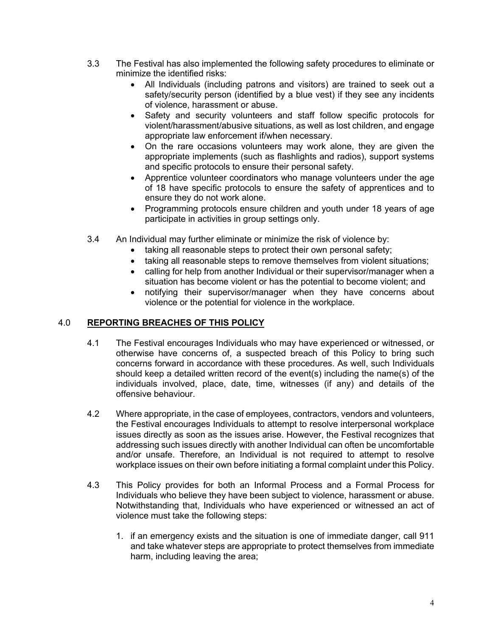- 3.3 The Festival has also implemented the following safety procedures to eliminate or minimize the identified risks:
	- All Individuals (including patrons and visitors) are trained to seek out a safety/security person (identified by a blue vest) if they see any incidents of violence, harassment or abuse.
	- Safety and security volunteers and staff follow specific protocols for violent/harassment/abusive situations, as well as lost children, and engage appropriate law enforcement if/when necessary.
	- On the rare occasions volunteers may work alone, they are given the appropriate implements (such as flashlights and radios), support systems and specific protocols to ensure their personal safety.
	- Apprentice volunteer coordinators who manage volunteers under the age of 18 have specific protocols to ensure the safety of apprentices and to ensure they do not work alone.
	- Programming protocols ensure children and youth under 18 years of age participate in activities in group settings only.
- 3.4 An Individual may further eliminate or minimize the risk of violence by:
	- taking all reasonable steps to protect their own personal safety;
	- taking all reasonable steps to remove themselves from violent situations;
	- calling for help from another Individual or their supervisor/manager when a situation has become violent or has the potential to become violent; and
	- notifying their supervisor/manager when they have concerns about violence or the potential for violence in the workplace.

## 4.0 **REPORTING BREACHES OF THIS POLICY**

- 4.1 The Festival encourages Individuals who may have experienced or witnessed, or otherwise have concerns of, a suspected breach of this Policy to bring such concerns forward in accordance with these procedures. As well, such Individuals should keep a detailed written record of the event(s) including the name(s) of the individuals involved, place, date, time, witnesses (if any) and details of the offensive behaviour.
- 4.2 Where appropriate, in the case of employees, contractors, vendors and volunteers, the Festival encourages Individuals to attempt to resolve interpersonal workplace issues directly as soon as the issues arise. However, the Festival recognizes that addressing such issues directly with another Individual can often be uncomfortable and/or unsafe. Therefore, an Individual is not required to attempt to resolve workplace issues on their own before initiating a formal complaint under this Policy.
- 4.3 This Policy provides for both an Informal Process and a Formal Process for Individuals who believe they have been subject to violence, harassment or abuse. Notwithstanding that, Individuals who have experienced or witnessed an act of violence must take the following steps:
	- 1. if an emergency exists and the situation is one of immediate danger, call 911 and take whatever steps are appropriate to protect themselves from immediate harm, including leaving the area;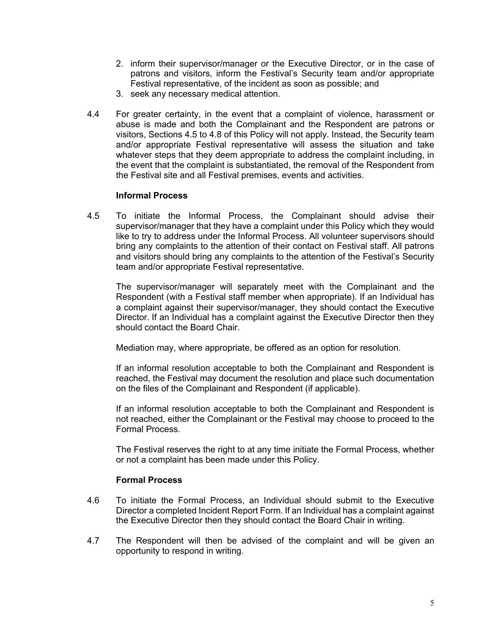- 2. inform their supervisor/manager or the Executive Director, or in the case of patrons and visitors, inform the Festival's Security team and/or appropriate Festival representative, of the incident as soon as possible; and
- 3. seek any necessary medical attention.
- 4.4 For greater certainty, in the event that a complaint of violence, harassment or abuse is made and both the Complainant and the Respondent are patrons or visitors, Sections 4.5 to 4.8 of this Policy will not apply. Instead, the Security team and/or appropriate Festival representative will assess the situation and take whatever steps that they deem appropriate to address the complaint including, in the event that the complaint is substantiated, the removal of the Respondent from the Festival site and all Festival premises, events and activities.

#### **Informal Process**

4.5 To initiate the Informal Process, the Complainant should advise their supervisor/manager that they have a complaint under this Policy which they would like to try to address under the Informal Process. All volunteer supervisors should bring any complaints to the attention of their contact on Festival staff. All patrons and visitors should bring any complaints to the attention of the Festival's Security team and/or appropriate Festival representative.

The supervisor/manager will separately meet with the Complainant and the Respondent (with a Festival staff member when appropriate). If an Individual has a complaint against their supervisor/manager, they should contact the Executive Director. If an Individual has a complaint against the Executive Director then they should contact the Board Chair.

Mediation may, where appropriate, be offered as an option for resolution.

If an informal resolution acceptable to both the Complainant and Respondent is reached, the Festival may document the resolution and place such documentation on the files of the Complainant and Respondent (if applicable).

If an informal resolution acceptable to both the Complainant and Respondent is not reached, either the Complainant or the Festival may choose to proceed to the Formal Process.

The Festival reserves the right to at any time initiate the Formal Process, whether or not a complaint has been made under this Policy.

#### **Formal Process**

- 4.6 To initiate the Formal Process, an Individual should submit to the Executive Director a completed Incident Report Form. If an Individual has a complaint against the Executive Director then they should contact the Board Chair in writing.
- 4.7 The Respondent will then be advised of the complaint and will be given an opportunity to respond in writing.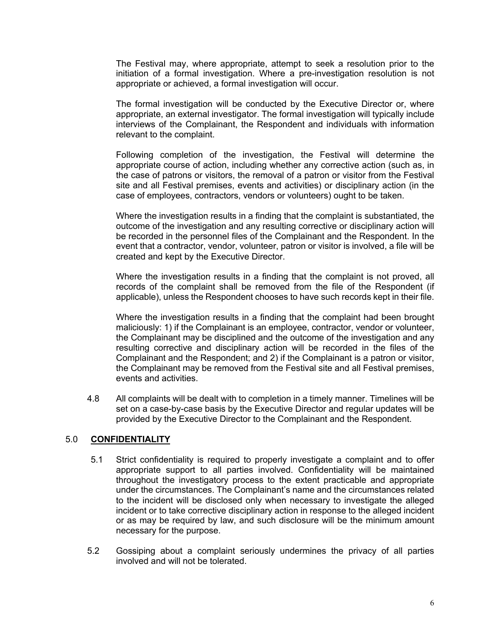The Festival may, where appropriate, attempt to seek a resolution prior to the initiation of a formal investigation. Where a pre-investigation resolution is not appropriate or achieved, a formal investigation will occur.

The formal investigation will be conducted by the Executive Director or, where appropriate, an external investigator. The formal investigation will typically include interviews of the Complainant, the Respondent and individuals with information relevant to the complaint.

Following completion of the investigation, the Festival will determine the appropriate course of action, including whether any corrective action (such as, in the case of patrons or visitors, the removal of a patron or visitor from the Festival site and all Festival premises, events and activities) or disciplinary action (in the case of employees, contractors, vendors or volunteers) ought to be taken.

Where the investigation results in a finding that the complaint is substantiated, the outcome of the investigation and any resulting corrective or disciplinary action will be recorded in the personnel files of the Complainant and the Respondent. In the event that a contractor, vendor, volunteer, patron or visitor is involved, a file will be created and kept by the Executive Director.

Where the investigation results in a finding that the complaint is not proved, all records of the complaint shall be removed from the file of the Respondent (if applicable), unless the Respondent chooses to have such records kept in their file.

Where the investigation results in a finding that the complaint had been brought maliciously: 1) if the Complainant is an employee, contractor, vendor or volunteer, the Complainant may be disciplined and the outcome of the investigation and any resulting corrective and disciplinary action will be recorded in the files of the Complainant and the Respondent; and 2) if the Complainant is a patron or visitor, the Complainant may be removed from the Festival site and all Festival premises, events and activities.

4.8 All complaints will be dealt with to completion in a timely manner. Timelines will be set on a case-by-case basis by the Executive Director and regular updates will be provided by the Executive Director to the Complainant and the Respondent.

## 5.0 **CONFIDENTIALITY**

- 5.1 Strict confidentiality is required to properly investigate a complaint and to offer appropriate support to all parties involved. Confidentiality will be maintained throughout the investigatory process to the extent practicable and appropriate under the circumstances. The Complainant's name and the circumstances related to the incident will be disclosed only when necessary to investigate the alleged incident or to take corrective disciplinary action in response to the alleged incident or as may be required by law, and such disclosure will be the minimum amount necessary for the purpose.
- 5.2 Gossiping about a complaint seriously undermines the privacy of all parties involved and will not be tolerated.